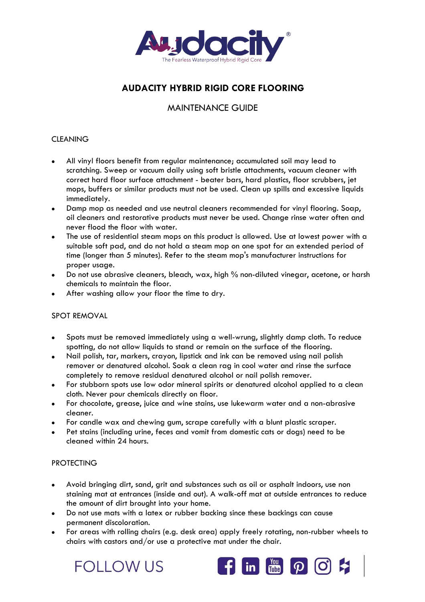

# **AUDACITY HYBRID RIGID CORE FLOORING**

## MAINTENANCE GUIDE

#### **CLEANING**

- All vinyl floors benefit from regular maintenance; accumulated soil may lead to scratching. Sweep or vacuum daily using soft bristle attachments, vacuum cleaner with correct hard floor surface attachment - beater bars, hard plastics, floor scrubbers, jet mops, buffers or similar products must not be used. Clean up spills and excessive liquids immediately.
- Damp mop as needed and use neutral cleaners recommended for vinyl flooring. Soap, oil cleaners and restorative products must never be used. Change rinse water often and never flood the floor with water.
- The use of residential steam mops on this product is allowed. Use at lowest power with a suitable soft pad, and do not hold a steam mop on one spot for an extended period of time (longer than 5 minutes). Refer to the steam mop's manufacturer instructions for proper usage.
- Do not use abrasive cleaners, bleach, wax, high % non-diluted vinegar, acetone, or harsh chemicals to maintain the floor.
- After washing allow your floor the time to dry.

#### SPOT REMOVAL

- Spots must be removed immediately using a well-wrung, slightly damp cloth. To reduce spotting, do not allow liquids to stand or remain on the surface of the flooring.
- Nail polish, tar, markers, crayon, lipstick and ink can be removed using nail polish remover or denatured alcohol. Soak a clean rag in cool water and rinse the surface completely to remove residual denatured alcohol or nail polish remover.
- For stubborn spots use low odor mineral spirits or denatured alcohol applied to a clean cloth. Never pour chemicals directly on floor.
- For chocolate, grease, juice and wine stains, use lukewarm water and a non-abrasive cleaner.
- For candle wax and chewing gum, scrape carefully with a blunt plastic scraper.
- Pet stains (including urine, feces and vomit from domestic cats or dogs) need to be cleaned within 24 hours.

#### PROTECTING

- Avoid bringing dirt, sand, grit and substances such as oil or asphalt indoors, use non staining mat at entrances (inside and out). A walk-off mat at outside entrances to reduce the amount of dirt brought into your home.
- Do not use mats with a latex or rubber backing since these backings can cause permanent discoloration.
- For areas with rolling chairs (e.g. desk area) apply freely rotating, non-rubber wheels to chairs with castors and/or use a protective mat under the chair.

**FOLLOWUS** 

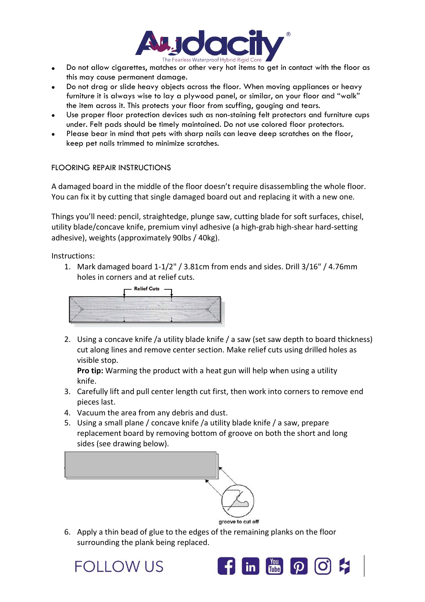

- Do not allow cigarettes, matches or other very hot items to get in contact with the floor as this may cause permanent damage.
- Do not drag or slide heavy objects across the floor. When moving appliances or heavy furniture it is always wise to lay a plywood panel, or similar, on your floor and "walk" the item across it. This protects your floor from scuffing, gouging and tears.
- Use proper floor protection devices such as non-staining felt protectors and furniture cups under. Felt pads should be timely maintained. Do not use colored floor protectors.
- Please bear in mind that pets with sharp nails can leave deep scratches on the floor, keep pet nails trimmed to minimize scratches.

### FLOORING REPAIR INSTRUCTIONS

A damaged board in the middle of the floor doesn't require disassembling the whole floor. You can fix it by cutting that single damaged board out and replacing it with a new one.

Things you'll need: pencil, straightedge, plunge saw, cutting blade for soft surfaces, chisel, utility blade/concave knife, premium vinyl adhesive (a high-grab high-shear hard-setting adhesive), weights (approximately 90lbs / 40kg).

Instructions:

1. Mark damaged board 1-1/2" / 3.81cm from ends and sides. Drill 3/16" / 4.76mm holes in corners and at relief cuts.



2. Using a concave knife /a utility blade knife / a saw (set saw depth to board thickness) cut along lines and remove center section. Make relief cuts using drilled holes as visible stop.

**Pro tip:** Warming the product with a heat gun will help when using a utility knife.

- 3. Carefully lift and pull center length cut first, then work into corners to remove end pieces last.
- 4. Vacuum the area from any debris and dust.
- 5. Using a small plane / concave knife /a utility blade knife / a saw, prepare replacement board by removing bottom of groove on both the short and long sides (see drawing below).



6. Apply a thin bead of glue to the edges ofthe remaining planks on the floor surrounding the plank being replaced.

FOLLOW US